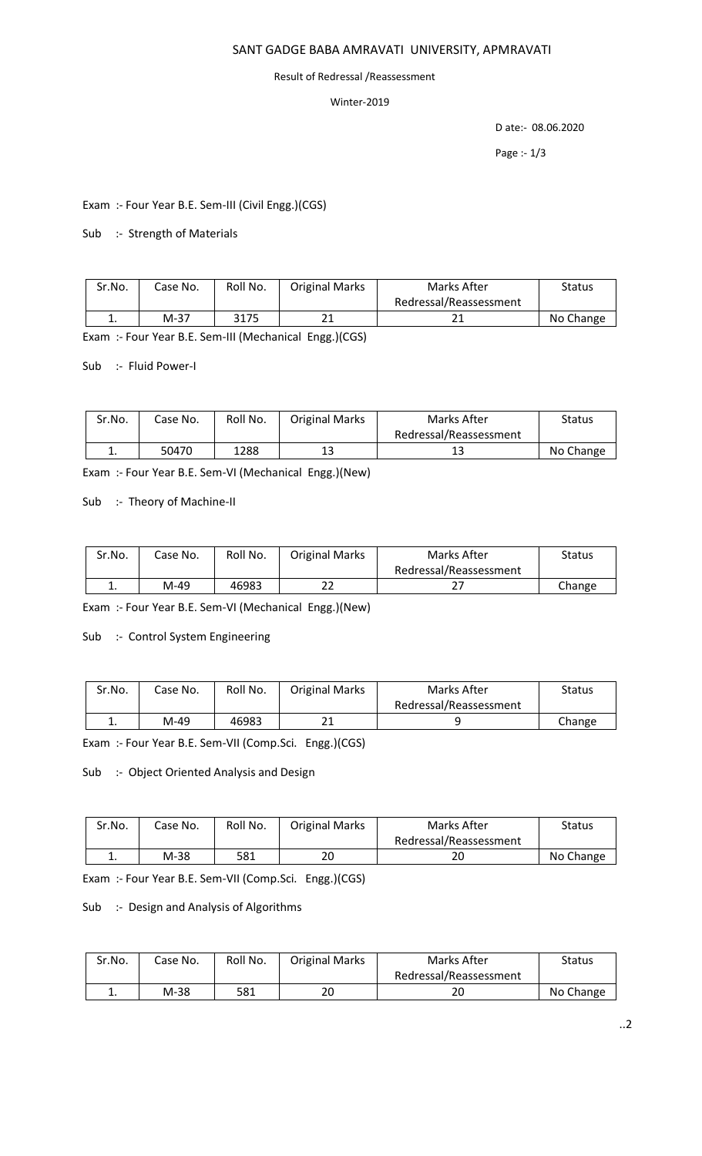#### SANT GADGE BABA AMRAVATI UNIVERSITY, APMRAVATI

#### Result of Redressal /Reassessment

#### Winter-2019

D ate:- 08.06.2020

Page :- 1/3

Exam :- Four Year B.E. Sem-III (Civil Engg.)(CGS)

#### Sub :- Strength of Materials

| Sr.No. | Case No. | Roll No. | <b>Original Marks</b> | Marks After            | <b>Status</b> |
|--------|----------|----------|-----------------------|------------------------|---------------|
|        |          |          |                       | Redressal/Reassessment |               |
| . .    | $M-37$   | 3175     | าง<br>ᅀᅩ              |                        | No Change     |

Exam :- Four Year B.E. Sem-III (Mechanical Engg.)(CGS)

Sub :- Fluid Power-I

| Sr.No. | Case No. | Roll No. | <b>Original Marks</b> | Marks After            | Status    |
|--------|----------|----------|-----------------------|------------------------|-----------|
|        |          |          |                       | Redressal/Reassessment |           |
| ᆠ.     | 50470    | 1288     | ⊥⊐                    | ے ج                    | No Change |

Exam :- Four Year B.E. Sem-VI (Mechanical Engg.)(New)

Sub :- Theory of Machine-II

| Sr.No.   | Case No. | Roll No. | <b>Original Marks</b> | Marks After            | <b>Status</b> |
|----------|----------|----------|-----------------------|------------------------|---------------|
|          |          |          |                       | Redressal/Reassessment |               |
| <b>.</b> | M-49     | 46983    | רר<br>ے               | <u>L</u>               | Change        |

Exam :- Four Year B.E. Sem-VI (Mechanical Engg.)(New)

Sub :- Control System Engineering

| Sr.No.   | Case No. | Roll No. | <b>Original Marks</b> | Marks After            | Status |
|----------|----------|----------|-----------------------|------------------------|--------|
|          |          |          |                       | Redressal/Reassessment |        |
| <b>.</b> | M-49     | 46983    | ำ1                    |                        | Change |

Exam :- Four Year B.E. Sem-VII (Comp.Sci. Engg.)(CGS)

Sub :- Object Oriented Analysis and Design

| Sr.No. | Case No. | Roll No. | <b>Original Marks</b> | Marks After            | Status    |
|--------|----------|----------|-----------------------|------------------------|-----------|
|        |          |          |                       | Redressal/Reassessment |           |
| . .    | M-38     | 581      | 20                    | ۷J                     | No Change |

Exam :- Four Year B.E. Sem-VII (Comp.Sci. Engg.)(CGS)

## Sub :- Design and Analysis of Algorithms

| Sr.No. | Case No. | Roll No. | <b>Original Marks</b> | Marks After            | <b>Status</b> |
|--------|----------|----------|-----------------------|------------------------|---------------|
|        |          |          |                       | Redressal/Reassessment |               |
| . .    | M-38     | 581      | 20                    | 20                     | No Change     |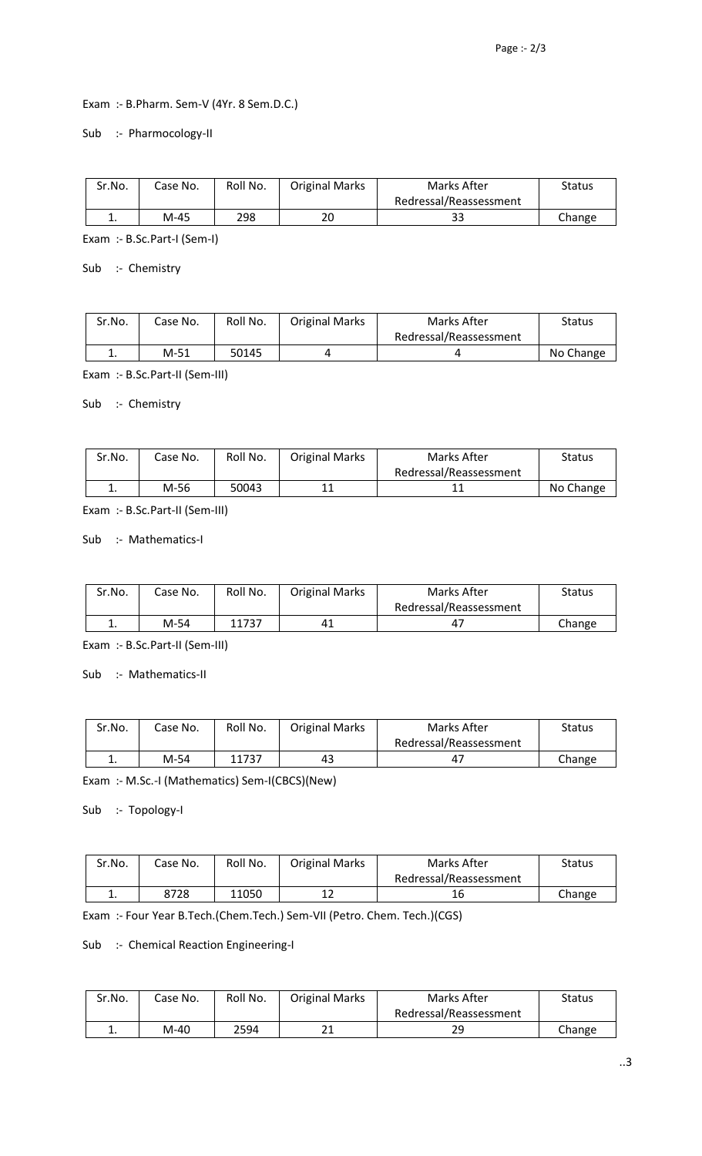### Exam :- B.Pharm. Sem-V (4Yr. 8 Sem.D.C.)

#### Sub :- Pharmocology-II

| Sr.No. | Case No. | Roll No. | <b>Original Marks</b> | Marks After            | Status |
|--------|----------|----------|-----------------------|------------------------|--------|
|        |          |          |                       | Redressal/Reassessment |        |
| . ـ    | M-45     | 298      | 20                    | ລລ<br>ວວ               | Change |

Exam :- B.Sc.Part-I (Sem-I)

Sub :- Chemistry

| Sr.No. | Case No. | Roll No. | <b>Original Marks</b> | Marks After            | <b>Status</b> |
|--------|----------|----------|-----------------------|------------------------|---------------|
|        |          |          |                       | Redressal/Reassessment |               |
| . .    | $M-51$   | 50145    |                       |                        | No Change     |

Exam :- B.Sc.Part-II (Sem-III)

### Sub :- Chemistry

| Sr.No. | Case No. | Roll No. | <b>Original Marks</b> | Marks After            | <b>Status</b> |
|--------|----------|----------|-----------------------|------------------------|---------------|
|        |          |          |                       | Redressal/Reassessment |               |
|        | M-56     | 50043    |                       |                        | No Change     |

Exam :- B.Sc.Part-II (Sem-III)

# Sub :- Mathematics-I

| Sr.No. | Case No. | Roll No. | <b>Original Marks</b> | Marks After            | Status |
|--------|----------|----------|-----------------------|------------------------|--------|
|        |          |          |                       | Redressal/Reassessment |        |
| . .    | M-54     | 11737    | 41                    | 47                     | Change |

Exam :- B.Sc.Part-II (Sem-III)

Sub :- Mathematics-II

| Sr.No. | Case No. | Roll No. | <b>Original Marks</b> | Marks After            | Status |
|--------|----------|----------|-----------------------|------------------------|--------|
|        |          |          |                       | Redressal/Reassessment |        |
| . .    | M-54     | 11737    | 43                    | 4,                     | Change |

Exam :- M.Sc.-I (Mathematics) Sem-I(CBCS)(New)

#### Sub :- Topology-I

| Sr.No. | Case No. | Roll No. | <b>Original Marks</b> | Marks After            | <b>Status</b> |
|--------|----------|----------|-----------------------|------------------------|---------------|
|        |          |          |                       | Redressal/Reassessment |               |
| . .    | 8728     | 11050    |                       | 16                     | Change        |

Exam :- Four Year B.Tech.(Chem.Tech.) Sem-VII (Petro. Chem. Tech.)(CGS)

# Sub :- Chemical Reaction Engineering-I

| Sr.No. | Case No. | Roll No. | <b>Original Marks</b> | Marks After            | Status |
|--------|----------|----------|-----------------------|------------------------|--------|
|        |          |          |                       | Redressal/Reassessment |        |
| . .    | M-40     | 2594     | <b>01</b>             | 29                     | Change |